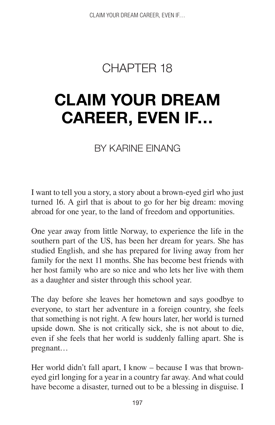CLAIM YOUR DREAM CAREER, EVEN IF…

## CHAPTER 18

# **CLAIM YOUR DREAM CAREER, EVEN IF…**

BY KARINE EINANG

I want to tell you a story, a story about a brown-eyed girl who just turned 16. A girl that is about to go for her big dream: moving abroad for one year, to the land of freedom and opportunities.

One year away from little Norway, to experience the life in the southern part of the US, has been her dream for years. She has studied English, and she has prepared for living away from her family for the next 11 months. She has become best friends with her host family who are so nice and who lets her live with them as a daughter and sister through this school year.

The day before she leaves her hometown and says goodbye to everyone, to start her adventure in a foreign country, she feels that something is not right. A few hours later, her world is turned upside down. She is not critically sick, she is not about to die, even if she feels that her world is suddenly falling apart. She is pregnant…

Her world didn't fall apart, I know – because I was that browneyed girl longing for a year in a country far away. And what could have become a disaster, turned out to be a blessing in disguise. I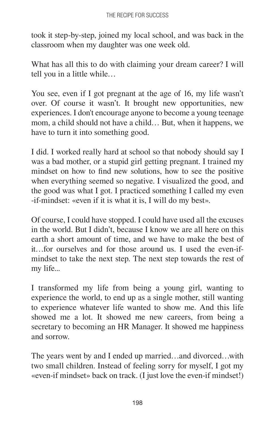took it step-by-step, joined my local school, and was back in the classroom when my daughter was one week old.

What has all this to do with claiming your dream career? I will tell you in a little while…

You see, even if I got pregnant at the age of 16, my life wasn't over. Of course it wasn't. It brought new opportunities, new experiences. I don't encourage anyone to become a young teenage mom, a child should not have a child… But, when it happens, we have to turn it into something good.

I did. I worked really hard at school so that nobody should say I was a bad mother, or a stupid girl getting pregnant. I trained my mindset on how to find new solutions, how to see the positive when everything seemed so negative. I visualized the good, and the good was what I got. I practiced something I called my even -if-mindset: «even if it is what it is, I will do my best».

Of course, I could have stopped. I could have used all the excuses in the world. But I didn't, because I know we are all here on this earth a short amount of time, and we have to make the best of it…for ourselves and for those around us. I used the even-ifmindset to take the next step. The next step towards the rest of my life...

I transformed my life from being a young girl, wanting to experience the world, to end up as a single mother, still wanting to experience whatever life wanted to show me. And this life showed me a lot. It showed me new careers, from being a secretary to becoming an HR Manager. It showed me happiness and sorrow.

The years went by and I ended up married…and divorced…with two small children. Instead of feeling sorry for myself, I got my «even-if mindset» back on track. (I just love the even-if mindset!)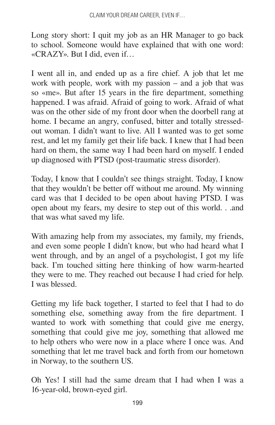Long story short: I quit my job as an HR Manager to go back to school. Someone would have explained that with one word: «CRAZY». But I did, even if…

I went all in, and ended up as a fire chief. A job that let me work with people, work with my passion – and a job that was so «me». But after 15 years in the fire department, something happened. I was afraid. Afraid of going to work. Afraid of what was on the other side of my front door when the doorbell rang at home. I became an angry, confused, bitter and totally stressedout woman. I didn't want to live. All I wanted was to get some rest, and let my family get their life back. I knew that I had been hard on them, the same way I had been hard on myself. I ended up diagnosed with PTSD (post-traumatic stress disorder).

Today, I know that I couldn't see things straight. Today, I know that they wouldn't be better off without me around. My winning card was that I decided to be open about having PTSD. I was open about my fears, my desire to step out of this world. . .and that was what saved my life.

With amazing help from my associates, my family, my friends, and even some people I didn't know, but who had heard what I went through, and by an angel of a psychologist, I got my life back. I'm touched sitting here thinking of how warm-hearted they were to me. They reached out because I had cried for help. I was blessed.

Getting my life back together, I started to feel that I had to do something else, something away from the fire department. I wanted to work with something that could give me energy, something that could give me joy, something that allowed me to help others who were now in a place where I once was. And something that let me travel back and forth from our hometown in Norway, to the southern US.

Oh Yes! I still had the same dream that I had when I was a 16-year-old, brown-eyed girl.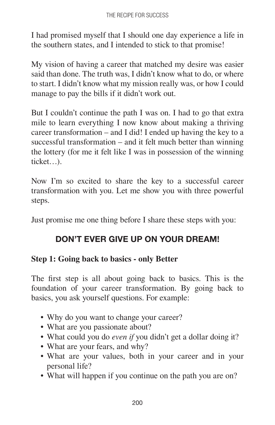I had promised myself that I should one day experience a life in the southern states, and I intended to stick to that promise!

My vision of having a career that matched my desire was easier said than done. The truth was, I didn't know what to do, or where to start. I didn't know what my mission really was, or how I could manage to pay the bills if it didn't work out.

But I couldn't continue the path I was on. I had to go that extra mile to learn everything I now know about making a thriving career transformation – and I did! I ended up having the key to a successful transformation – and it felt much better than winning the lottery (for me it felt like I was in possession of the winning ticket…).

Now I'm so excited to share the key to a successful career transformation with you. Let me show you with three powerful steps.

Just promise me one thing before I share these steps with you:

#### **DON'T EVER GIVE UP ON YOUR DREAM!**

#### **Step 1: Going back to basics - only Better**

The first step is all about going back to basics. This is the foundation of your career transformation. By going back to basics, you ask yourself questions. For example:

- Why do you want to change your career?
- What are you passionate about?
- What could you do *even if* you didn't get a dollar doing it?
- What are your fears, and why?
- What are your values, both in your career and in your personal life?
- What will happen if you continue on the path you are on?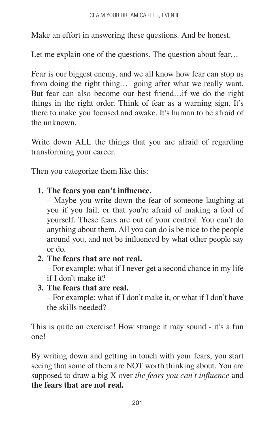Make an effort in answering these questions. And be honest.

Let me explain one of the questions. The question about fear...

Fear is our biggest enemy, and we all know how fear can stop us from doing the right thing… going after what we really want. But fear can also become our best friend…if we do the right things in the right order. Think of fear as a warning sign. It's there to make you focused and awake. It's human to be afraid of the unknown.

Write down ALL the things that you are afraid of regarding transforming your career.

Then you categorize them like this:

#### **1. The fears you can't influence.**

– Maybe you write down the fear of someone laughing at you if you fail, or that you're afraid of making a fool of yourself. These fears are out of your control. You can't do anything about them. All you can do is be nice to the people around you, and not be influenced by what other people say or do.

#### **2. The fears that are not real.**

– For example: what if I never get a second chance in my life if I don't make it?

**3. The fears that are real.** 

– For example: what if I don't make it, or what if I don't have the skills needed?

This is quite an exercise! How strange it may sound - it's a fun one!

By writing down and getting in touch with your fears, you start seeing that some of them are NOT worth thinking about. You are supposed to draw a big X over *the fears you can't influence* and **the fears that are not real.**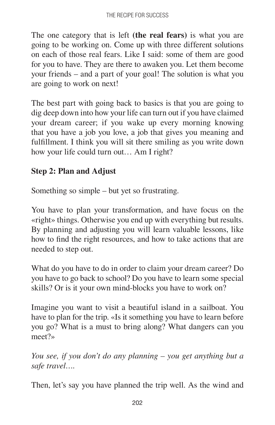The one category that is left **(the real fears)** is what you are going to be working on. Come up with three different solutions on each of those real fears. Like I said: some of them are good for you to have. They are there to awaken you. Let them become your friends – and a part of your goal! The solution is what you are going to work on next!

The best part with going back to basics is that you are going to dig deep down into how your life can turn out if you have claimed your dream career; if you wake up every morning knowing that you have a job you love, a job that gives you meaning and fulfillment. I think you will sit there smiling as you write down how your life could turn out… Am I right?

#### **Step 2: Plan and Adjust**

Something so simple – but yet so frustrating.

You have to plan your transformation, and have focus on the «right» things. Otherwise you end up with everything but results. By planning and adjusting you will learn valuable lessons, like how to find the right resources, and how to take actions that are needed to step out.

What do you have to do in order to claim your dream career? Do you have to go back to school? Do you have to learn some special skills? Or is it your own mind-blocks you have to work on?

Imagine you want to visit a beautiful island in a sailboat. You have to plan for the trip. «Is it something you have to learn before you go? What is a must to bring along? What dangers can you meet?»

*You see, if you don't do any planning – you get anything but a safe travel….*

Then, let's say you have planned the trip well. As the wind and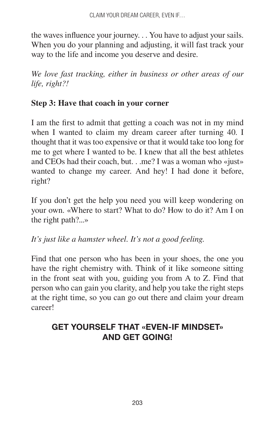CLAIM YOUR DREAM CAREER, EVEN IF…

the waves influence your journey. . . You have to adjust your sails. When you do your planning and adjusting, it will fast track your way to the life and income you deserve and desire.

*We love fast tracking, either in business or other areas of our life, right?!*

#### **Step 3: Have that coach in your corner**

I am the first to admit that getting a coach was not in my mind when I wanted to claim my dream career after turning 40. I thought that it was too expensive or that it would take too long for me to get where I wanted to be. I knew that all the best athletes and CEOs had their coach, but. . .me? I was a woman who «just» wanted to change my career. And hey! I had done it before, right?

If you don't get the help you need you will keep wondering on your own. «Where to start? What to do? How to do it? Am I on the right path?...»

#### *It's just like a hamster wheel. It's not a good feeling.*

Find that one person who has been in your shoes, the one you have the right chemistry with. Think of it like someone sitting in the front seat with you, guiding you from A to Z. Find that person who can gain you clarity, and help you take the right steps at the right time, so you can go out there and claim your dream career!

#### **GET YOURSELF THAT «EVEN-IF MINDSET» AND GET GOING!**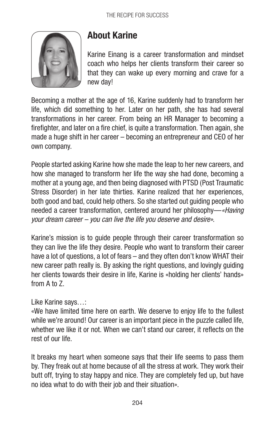

### **About Karine**

Karine Einang is a career transformation and mindset coach who helps her clients transform their career so that they can wake up every morning and crave for a new day!

Becoming a mother at the age of 16, Karine suddenly had to transform her life, which did something to her. Later on her path, she has had several transformations in her career. From being an HR Manager to becoming a firefighter, and later on a fire chief, is quite a transformation. Then again, she made a huge shift in her career – becoming an entrepreneur and CEO of her own company.

People started asking Karine how she made the leap to her new careers, and how she managed to transform her life the way she had done, becoming a mother at a young age, and then being diagnosed with PTSD (Post Traumatic Stress Disorder) in her late thirties. Karine realized that her experiences, both good and bad, could help others. So she started out guiding people who needed a career transformation, centered around her philosophy—*«Having your dream career – you can live the life you deserve and desire».*

Karine's mission is to guide people through their career transformation so they can live the life they desire. People who want to transform their career have a lot of questions, a lot of fears – and they often don't know WHAT their new career path really is. By asking the right questions, and lovingly guiding her clients towards their desire in life, Karine is «holding her clients' hands» from A to Z.

Like Karine says…:

«We have limited time here on earth. We deserve to enjoy life to the fullest while we're around! Our career is an important piece in the puzzle called life, whether we like it or not. When we can't stand our career, it reflects on the rest of our life.

It breaks my heart when someone says that their life seems to pass them by. They freak out at home because of all the stress at work. They work their butt off, trying to stay happy and nice. They are completely fed up, but have no idea what to do with their job and their situation».